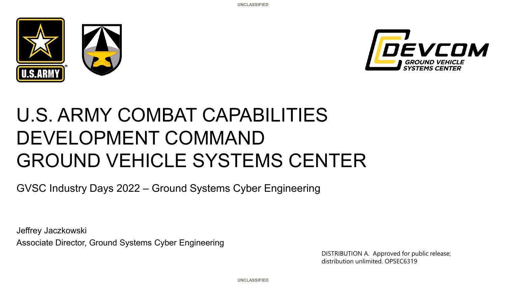



# U.S. ARMY COMBAT CAPABILITIES DEVELOPMENT COMMAND GROUND VEHICLE SYSTEMS CENTER

GVSC Industry Days 2022 – Ground Systems Cyber Engineering

Jeffrey Jaczkowski Associate Director, Ground Systems Cyber Engineering

> DISTRIBUTION A. Approved for public release; distribution unlimited. OPSEC6319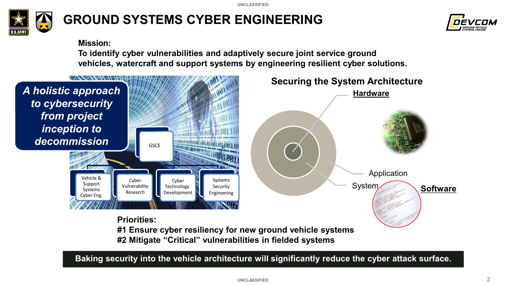

## **GROUND SYSTEMS CYBER ENGINEERING**



#### **Mission:**

**To identify cyber vulnerabilities and adaptively secure joint service ground vehicles, watercraft and support systems by engineering resilient cyber solutions.**



**Baking security into the vehicle architecture will significantly reduce the cyber attack surface.**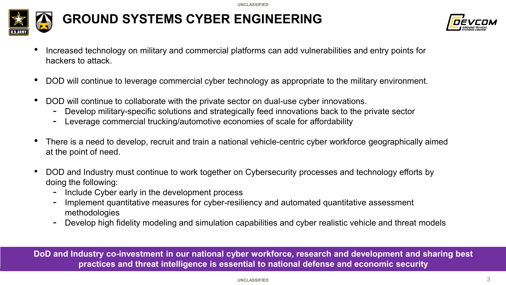

## **GROUND SYSTEMS CYBER ENGINEERING**



- Increased technology on military and commercial platforms can add vulnerabilities and entry points for hackers to attack.
- DOD will continue to leverage commercial cyber technology as appropriate to the military environment.
- DOD will continue to collaborate with the private sector on dual-use cyber innovations.
	- Develop military-specific solutions and strategically feed innovations back to the private sector
	- Leverage commercial trucking/automotive economies of scale for affordability
- There is a need to develop, recruit and train a national vehicle-centric cyber workforce geographically aimed at the point of need.
- DOD and Industry must continue to work together on Cybersecurity processes and technology efforts by doing the following:
	- Include Cyber early in the development process
	- Implement quantitative measures for cyber-resiliency and automated quantitative assessment methodologies
	- Develop high fidelity modeling and simulation capabilities and cyber realistic vehicle and threat models

**DoD and Industry co-investment in our national cyber workforce, research and development and sharing best practices and threat intelligence is essential to national defense and economic security**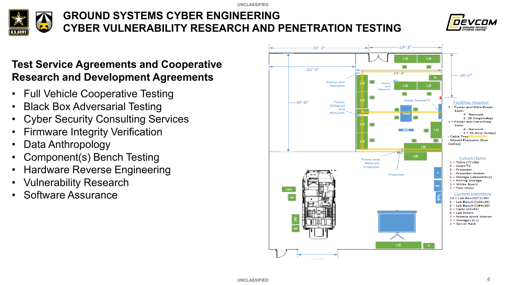

## **GROUND SYSTEMS CYBER ENGINEERING CYBER VULNERABILITY RESEARCH AND PENETRATION TESTING**



### **Test Service Agreements and Cooperative Research and Development Agreements**

- Full Vehicle Cooperative Testing
- Black Box Adversarial Testing
- Cyber Security Consulting Services
- **Firmware Integrity Verification**
- Data Anthropology
- Component(s) Bench Testing
- Hardware Reverse Engineering
- Vulnerability Research
- Software Assurance

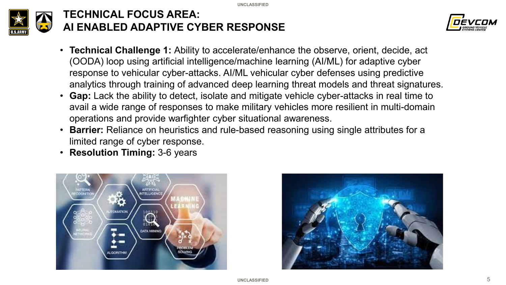

### **TECHNICAL FOCUS AREA: AI ENABLED ADAPTIVE CYBER RESPONSE**



- **Technical Challenge 1:** Ability to accelerate/enhance the observe, orient, decide, act (OODA) loop using artificial intelligence/machine learning (AI/ML) for adaptive cyber response to vehicular cyber-attacks. AI/ML vehicular cyber defenses using predictive analytics through training of advanced deep learning threat models and threat signatures.
- **Gap:** Lack the ability to detect, isolate and mitigate vehicle cyber-attacks in real time to avail a wide range of responses to make military vehicles more resilient in multi-domain operations and provide warfighter cyber situational awareness.
- **Barrier:** Reliance on heuristics and rule-based reasoning using single attributes for a limited range of cyber response.
- **Resolution Timing:** 3-6 years



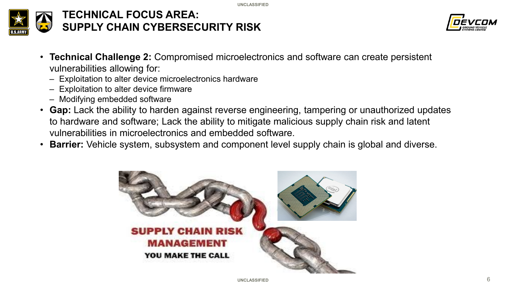

#### **TECHNICAL FOCUS AREA: SUPPLY CHAIN CYBERSECURITY RISK**



- **Technical Challenge 2:** Compromised microelectronics and software can create persistent vulnerabilities allowing for:
	- Exploitation to alter device microelectronics hardware
	- Exploitation to alter device firmware
	- Modifying embedded software
- **Gap:** Lack the ability to harden against reverse engineering, tampering or unauthorized updates to hardware and software; Lack the ability to mitigate malicious supply chain risk and latent vulnerabilities in microelectronics and embedded software.
- **Barrier:** Vehicle system, subsystem and component level supply chain is global and diverse.

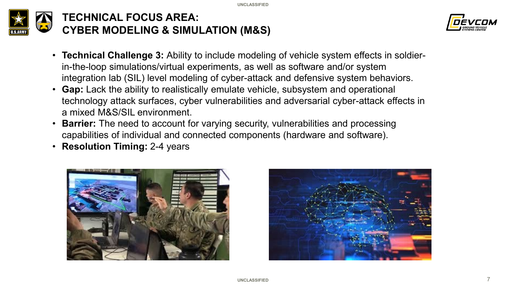



- **Technical Challenge 3:** Ability to include modeling of vehicle system effects in soldierin-the-loop simulations/virtual experiments, as well as software and/or system integration lab (SIL) level modeling of cyber-attack and defensive system behaviors.
- **Gap:** Lack the ability to realistically emulate vehicle, subsystem and operational technology attack surfaces, cyber vulnerabilities and adversarial cyber-attack effects in a mixed M&S/SIL environment.
- **Barrier:** The need to account for varying security, vulnerabilities and processing capabilities of individual and connected components (hardware and software).
- **Resolution Timing:** 2-4 years



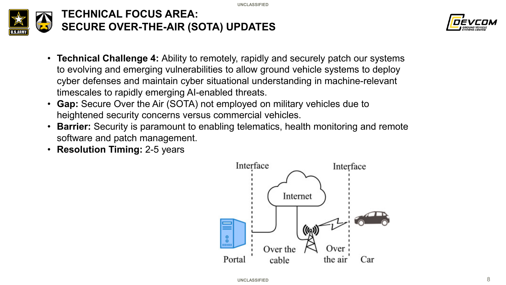



- **Technical Challenge 4:** Ability to remotely, rapidly and securely patch our systems to evolving and emerging vulnerabilities to allow ground vehicle systems to deploy cyber defenses and maintain cyber situational understanding in machine-relevant timescales to rapidly emerging AI-enabled threats.
- **Gap:** Secure Over the Air (SOTA) not employed on military vehicles due to heightened security concerns versus commercial vehicles.
- **Barrier:** Security is paramount to enabling telematics, health monitoring and remote software and patch management.
- **Resolution Timing:** 2-5 years

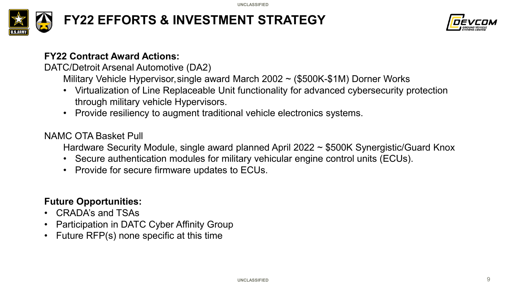

## **FY22 EFFORTS & INVESTMENT STRATEGY**



#### **FY22 Contract Award Actions:**

DATC/Detroit Arsenal Automotive (DA2)

Military Vehicle Hypervisor,single award March 2002 ~ (\$500K-\$1M) Dorner Works

- Virtualization of Line Replaceable Unit functionality for advanced cybersecurity protection through military vehicle Hypervisors.
- Provide resiliency to augment traditional vehicle electronics systems.

#### NAMC OTA Basket Pull

Hardware Security Module, single award planned April 2022 ~ \$500K Synergistic/Guard Knox

- Secure authentication modules for military vehicular engine control units (ECUs).
- Provide for secure firmware updates to ECUs.

#### **Future Opportunities:**

- CRADA's and TSAs
- Participation in DATC Cyber Affinity Group
- Future RFP(s) none specific at this time